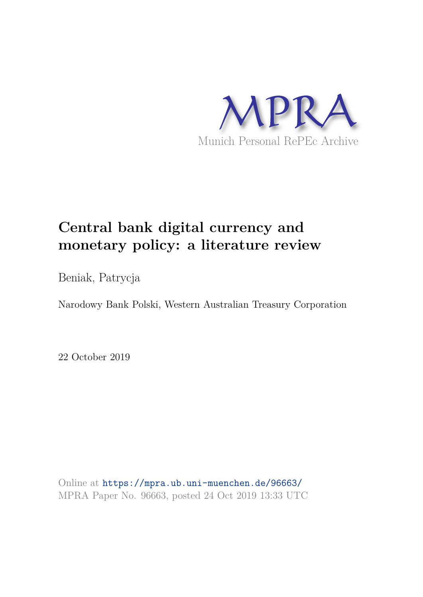

# **Central bank digital currency and monetary policy: a literature review**

Beniak, Patrycja

Narodowy Bank Polski, Western Australian Treasury Corporation

22 October 2019

Online at https://mpra.ub.uni-muenchen.de/96663/ MPRA Paper No. 96663, posted 24 Oct 2019 13:33 UTC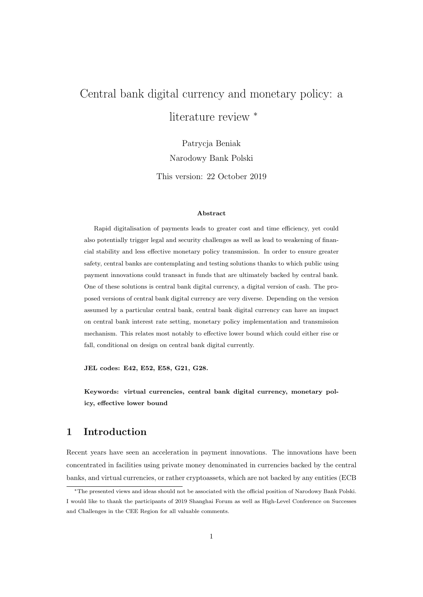## Central bank digital currency and monetary policy: a literature review <sup>∗</sup>

Patrycja Beniak Narodowy Bank Polski

This version: 22 October 2019

#### Abstract

Rapid digitalisation of payments leads to greater cost and time efficiency, yet could also potentially trigger legal and security challenges as well as lead to weakening of financial stability and less effective monetary policy transmission. In order to ensure greater safety, central banks are contemplating and testing solutions thanks to which public using payment innovations could transact in funds that are ultimately backed by central bank. One of these solutions is central bank digital currency, a digital version of cash. The proposed versions of central bank digital currency are very diverse. Depending on the version assumed by a particular central bank, central bank digital currency can have an impact on central bank interest rate setting, monetary policy implementation and transmission mechanism. This relates most notably to effective lower bound which could either rise or fall, conditional on design on central bank digital currently.

JEL codes: E42, E52, E58, G21, G28.

Keywords: virtual currencies, central bank digital currency, monetary policy, effective lower bound

### 1 Introduction

Recent years have seen an acceleration in payment innovations. The innovations have been concentrated in facilities using private money denominated in currencies backed by the central banks, and virtual currencies, or rather cryptoassets, which are not backed by any entities (ECB

<sup>∗</sup>The presented views and ideas should not be associated with the official position of Narodowy Bank Polski. I would like to thank the participants of 2019 Shanghai Forum as well as High-Level Conference on Successes and Challenges in the CEE Region for all valuable comments.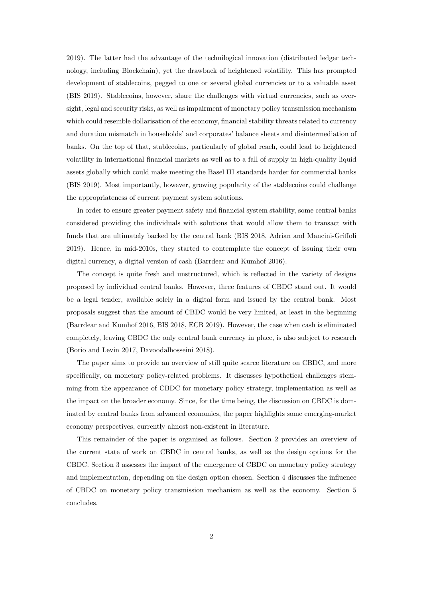2019). The latter had the advantage of the technilogical innovation (distributed ledger technology, including Blockchain), yet the drawback of heightened volatility. This has prompted development of stablecoins, pegged to one or several global currencies or to a valuable asset (BIS 2019). Stablecoins, however, share the challenges with virtual currencies, such as oversight, legal and security risks, as well as impairment of monetary policy transmission mechanism which could resemble dollarisation of the economy, financial stability threats related to currency and duration mismatch in households' and corporates' balance sheets and disintermediation of banks. On the top of that, stablecoins, particularly of global reach, could lead to heightened volatility in international financial markets as well as to a fall of supply in high-quality liquid assets globally which could make meeting the Basel III standards harder for commercial banks (BIS 2019). Most importantly, however, growing popularity of the stablecoins could challenge the appropriateness of current payment system solutions.

In order to ensure greater payment safety and financial system stability, some central banks considered providing the individuals with solutions that would allow them to transact with funds that are ultimately backed by the central bank (BIS 2018, Adrian and Mancini-Griffoli 2019). Hence, in mid-2010s, they started to contemplate the concept of issuing their own digital currency, a digital version of cash (Barrdear and Kumhof 2016).

The concept is quite fresh and unstructured, which is reflected in the variety of designs proposed by individual central banks. However, three features of CBDC stand out. It would be a legal tender, available solely in a digital form and issued by the central bank. Most proposals suggest that the amount of CBDC would be very limited, at least in the beginning (Barrdear and Kumhof 2016, BIS 2018, ECB 2019). However, the case when cash is eliminated completely, leaving CBDC the only central bank currency in place, is also subject to research (Borio and Levin 2017, Davoodalhosseini 2018).

The paper aims to provide an overview of still quite scarce literature on CBDC, and more specifically, on monetary policy-related problems. It discusses hypothetical challenges stemming from the appearance of CBDC for monetary policy strategy, implementation as well as the impact on the broader economy. Since, for the time being, the discussion on CBDC is dominated by central banks from advanced economies, the paper highlights some emerging-market economy perspectives, currently almost non-existent in literature.

This remainder of the paper is organised as follows. Section 2 provides an overview of the current state of work on CBDC in central banks, as well as the design options for the CBDC. Section 3 assesses the impact of the emergence of CBDC on monetary policy strategy and implementation, depending on the design option chosen. Section 4 discusses the influence of CBDC on monetary policy transmission mechanism as well as the economy. Section 5 concludes.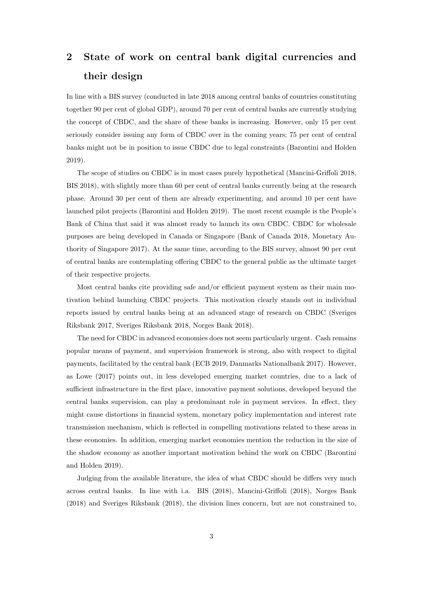### 2 State of work on central bank digital currencies and their design

In line with a BIS survey (conducted in late 2018 among central banks of countries constituting together 90 per cent of global GDP), around 70 per cent of central banks are currently studying the concept of CBDC, and the share of these banks is increasing. However, only 15 per cent seriously consider issuing any form of CBDC over in the coming years; 75 per cent of central banks might not be in position to issue CBDC due to legal constraints (Barontini and Holden 2019).

The scope of studies on CBDC is in most cases purely hypothetical (Mancini-Griffoli 2018, BIS 2018), with slightly more than 60 per cent of central banks currently being at the research phase. Around 30 per cent of them are already experimenting, and around 10 per cent have launched pilot projects (Barontini and Holden 2019). The most recent example is the People's Bank of China that said it was almost ready to launch its own CBDC. CBDC for wholesale purposes are being developed in Canada or Singapore (Bank of Canada 2018, Monetary Authority of Singapore 2017). At the same time, according to the BIS survey, almost 90 per cent of central banks are contemplating offering CBDC to the general public as the ultimate target of their respective projects.

Most central banks cite providing safe and/or efficient payment system as their main motivation behind launching CBDC projects. This motivation clearly stands out in individual reports issued by central banks being at an advanced stage of research on CBDC (Sveriges Riksbank 2017, Sveriges Riksbank 2018, Norges Bank 2018).

The need for CBDC in advanced economies does not seem particularly urgent. Cash remains popular means of payment, and supervision framework is strong, also with respect to digital payments, facilitated by the central bank (ECB 2019, Danmarks Nationalbank 2017). However, as Lowe (2017) points out, in less developed emerging market countries, due to a lack of sufficient infrastructure in the first place, innovative payment solutions, developed beyond the central banks supervision, can play a predominant role in payment services. In effect, they might cause distortions in financial system, monetary policy implementation and interest rate transmission mechanism, which is reflected in compelling motivations related to these areas in these economies. In addition, emerging market economies mention the reduction in the size of the shadow economy as another important motivation behind the work on CBDC (Barontini and Holden 2019).

Judging from the available literature, the idea of what CBDC should be differs very much across central banks. In line with i.a. BIS (2018), Mancini-Griffoli (2018), Norges Bank (2018) and Sveriges Riksbank (2018), the division lines concern, but are not constrained to,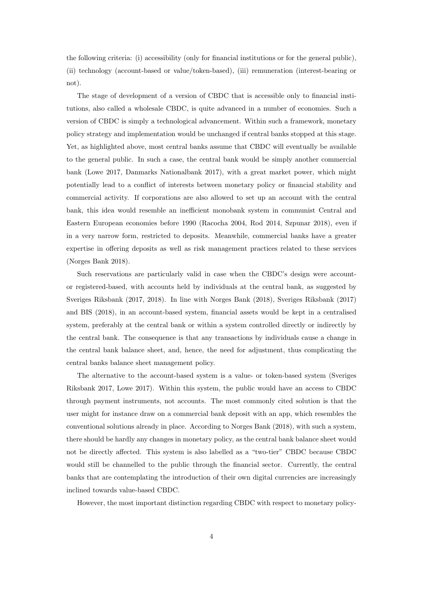the following criteria: (i) accessibility (only for financial institutions or for the general public), (ii) technology (account-based or value/token-based), (iii) remuneration (interest-bearing or not).

The stage of development of a version of CBDC that is accessible only to financial institutions, also called a wholesale CBDC, is quite advanced in a number of economies. Such a version of CBDC is simply a technological advancement. Within such a framework, monetary policy strategy and implementation would be unchanged if central banks stopped at this stage. Yet, as highlighted above, most central banks assume that CBDC will eventually be available to the general public. In such a case, the central bank would be simply another commercial bank (Lowe 2017, Danmarks Nationalbank 2017), with a great market power, which might potentially lead to a conflict of interests between monetary policy or financial stability and commercial activity. If corporations are also allowed to set up an account with the central bank, this idea would resemble an inefficient monobank system in communist Central and Eastern European economies before 1990 (Racocha 2004, Rod 2014, Szpunar 2018), even if in a very narrow form, restricted to deposits. Meanwhile, commercial banks have a greater expertise in offering deposits as well as risk management practices related to these services (Norges Bank 2018).

Such reservations are particularly valid in case when the CBDC's design were accountor registered-based, with accounts held by individuals at the central bank, as suggested by Sveriges Riksbank (2017, 2018). In line with Norges Bank (2018), Sveriges Riksbank (2017) and BIS (2018), in an account-based system, financial assets would be kept in a centralised system, preferably at the central bank or within a system controlled directly or indirectly by the central bank. The consequence is that any transactions by individuals cause a change in the central bank balance sheet, and, hence, the need for adjustment, thus complicating the central banks balance sheet management policy.

The alternative to the account-based system is a value- or token-based system (Sveriges Riksbank 2017, Lowe 2017). Within this system, the public would have an access to CBDC through payment instruments, not accounts. The most commonly cited solution is that the user might for instance draw on a commercial bank deposit with an app, which resembles the conventional solutions already in place. According to Norges Bank (2018), with such a system, there should be hardly any changes in monetary policy, as the central bank balance sheet would not be directly affected. This system is also labelled as a "two-tier" CBDC because CBDC would still be channelled to the public through the financial sector. Currently, the central banks that are contemplating the introduction of their own digital currencies are increasingly inclined towards value-based CBDC.

However, the most important distinction regarding CBDC with respect to monetary policy-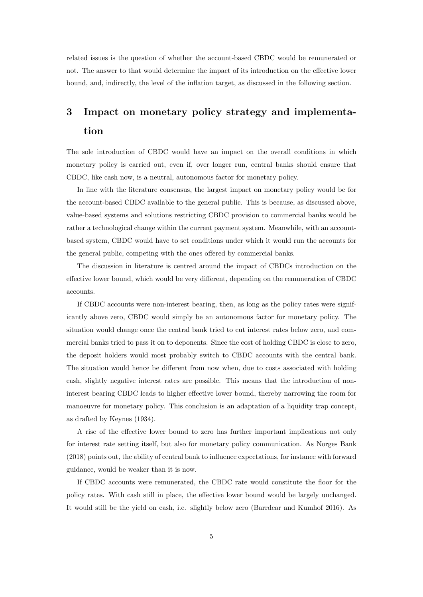related issues is the question of whether the account-based CBDC would be remunerated or not. The answer to that would determine the impact of its introduction on the effective lower bound, and, indirectly, the level of the inflation target, as discussed in the following section.

### 3 Impact on monetary policy strategy and implementation

The sole introduction of CBDC would have an impact on the overall conditions in which monetary policy is carried out, even if, over longer run, central banks should ensure that CBDC, like cash now, is a neutral, autonomous factor for monetary policy.

In line with the literature consensus, the largest impact on monetary policy would be for the account-based CBDC available to the general public. This is because, as discussed above, value-based systems and solutions restricting CBDC provision to commercial banks would be rather a technological change within the current payment system. Meanwhile, with an accountbased system, CBDC would have to set conditions under which it would run the accounts for the general public, competing with the ones offered by commercial banks.

The discussion in literature is centred around the impact of CBDCs introduction on the effective lower bound, which would be very different, depending on the remuneration of CBDC accounts.

If CBDC accounts were non-interest bearing, then, as long as the policy rates were significantly above zero, CBDC would simply be an autonomous factor for monetary policy. The situation would change once the central bank tried to cut interest rates below zero, and commercial banks tried to pass it on to deponents. Since the cost of holding CBDC is close to zero, the deposit holders would most probably switch to CBDC accounts with the central bank. The situation would hence be different from now when, due to costs associated with holding cash, slightly negative interest rates are possible. This means that the introduction of noninterest bearing CBDC leads to higher effective lower bound, thereby narrowing the room for manoeuvre for monetary policy. This conclusion is an adaptation of a liquidity trap concept, as drafted by Keynes (1934).

A rise of the effective lower bound to zero has further important implications not only for interest rate setting itself, but also for monetary policy communication. As Norges Bank (2018) points out, the ability of central bank to influence expectations, for instance with forward guidance, would be weaker than it is now.

If CBDC accounts were remunerated, the CBDC rate would constitute the floor for the policy rates. With cash still in place, the effective lower bound would be largely unchanged. It would still be the yield on cash, i.e. slightly below zero (Barrdear and Kumhof 2016). As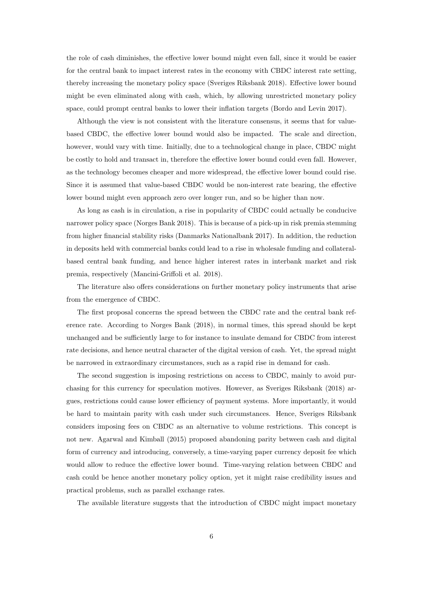the role of cash diminishes, the effective lower bound might even fall, since it would be easier for the central bank to impact interest rates in the economy with CBDC interest rate setting, thereby increasing the monetary policy space (Sveriges Riksbank 2018). Effective lower bound might be even eliminated along with cash, which, by allowing unrestricted monetary policy space, could prompt central banks to lower their inflation targets (Bordo and Levin 2017).

Although the view is not consistent with the literature consensus, it seems that for valuebased CBDC, the effective lower bound would also be impacted. The scale and direction, however, would vary with time. Initially, due to a technological change in place, CBDC might be costly to hold and transact in, therefore the effective lower bound could even fall. However, as the technology becomes cheaper and more widespread, the effective lower bound could rise. Since it is assumed that value-based CBDC would be non-interest rate bearing, the effective lower bound might even approach zero over longer run, and so be higher than now.

As long as cash is in circulation, a rise in popularity of CBDC could actually be conducive narrower policy space (Norges Bank 2018). This is because of a pick-up in risk premia stemming from higher financial stability risks (Danmarks Nationalbank 2017). In addition, the reduction in deposits held with commercial banks could lead to a rise in wholesale funding and collateralbased central bank funding, and hence higher interest rates in interbank market and risk premia, respectively (Mancini-Griffoli et al. 2018).

The literature also offers considerations on further monetary policy instruments that arise from the emergence of CBDC.

The first proposal concerns the spread between the CBDC rate and the central bank reference rate. According to Norges Bank (2018), in normal times, this spread should be kept unchanged and be sufficiently large to for instance to insulate demand for CBDC from interest rate decisions, and hence neutral character of the digital version of cash. Yet, the spread might be narrowed in extraordinary circumstances, such as a rapid rise in demand for cash.

The second suggestion is imposing restrictions on access to CBDC, mainly to avoid purchasing for this currency for speculation motives. However, as Sveriges Riksbank (2018) argues, restrictions could cause lower efficiency of payment systems. More importantly, it would be hard to maintain parity with cash under such circumstances. Hence, Sveriges Riksbank considers imposing fees on CBDC as an alternative to volume restrictions. This concept is not new. Agarwal and Kimball (2015) proposed abandoning parity between cash and digital form of currency and introducing, conversely, a time-varying paper currency deposit fee which would allow to reduce the effective lower bound. Time-varying relation between CBDC and cash could be hence another monetary policy option, yet it might raise credibility issues and practical problems, such as parallel exchange rates.

The available literature suggests that the introduction of CBDC might impact monetary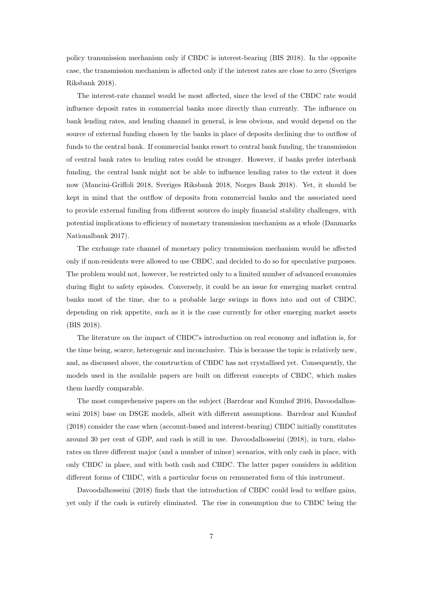policy transmission mechanism only if CBDC is interest-bearing (BIS 2018). In the opposite case, the transmission mechanism is affected only if the interest rates are close to zero (Sveriges Riksbank 2018).

The interest-rate channel would be most affected, since the level of the CBDC rate would influence deposit rates in commercial banks more directly than currently. The influence on bank lending rates, and lending channel in general, is less obvious, and would depend on the source of external funding chosen by the banks in place of deposits declining due to outflow of funds to the central bank. If commercial banks resort to central bank funding, the transmission of central bank rates to lending rates could be stronger. However, if banks prefer interbank funding, the central bank might not be able to influence lending rates to the extent it does now (Mancini-Griffoli 2018, Sveriges Riksbank 2018, Norges Bank 2018). Yet, it should be kept in mind that the outflow of deposits from commercial banks and the associated need to provide external funding from different sources do imply financial stability challenges, with potential implications to efficiency of monetary transmission mechanism as a whole (Danmarks Nationalbank 2017).

The exchange rate channel of monetary policy transmission mechanism would be affected only if non-residents were allowed to use CBDC, and decided to do so for speculative purposes. The problem would not, however, be restricted only to a limited number of advanced economies during flight to safety episodes. Conversely, it could be an issue for emerging market central banks most of the time, due to a probable large swings in flows into and out of CBDC, depending on risk appetite, such as it is the case currently for other emerging market assets (BIS 2018).

The literature on the impact of CBDC's introduction on real economy and inflation is, for the time being, scarce, heterogenic and inconclusive. This is because the topic is relatively new, and, as discussed above, the construction of CBDC has not crystallised yet. Consequently, the models used in the available papers are built on different concepts of CBDC, which makes them hardly comparable.

The most comprehensive papers on the subject (Barrdear and Kumhof 2016, Davoodalhosseini 2018) base on DSGE models, albeit with different assumptions. Barrdear and Kumhof (2018) consider the case when (account-based and interest-bearing) CBDC initially constitutes around 30 per cent of GDP, and cash is still in use. Davoodalhosseini (2018), in turn, elaborates on three different major (and a number of minor) scenarios, with only cash in place, with only CBDC in place, and with both cash and CBDC. The latter paper considers in addition different forms of CBDC, with a particular focus on remunerated form of this instrument.

Davoodalhosseini (2018) finds that the introduction of CBDC could lead to welfare gains, yet only if the cash is entirely eliminated. The rise in consumption due to CBDC being the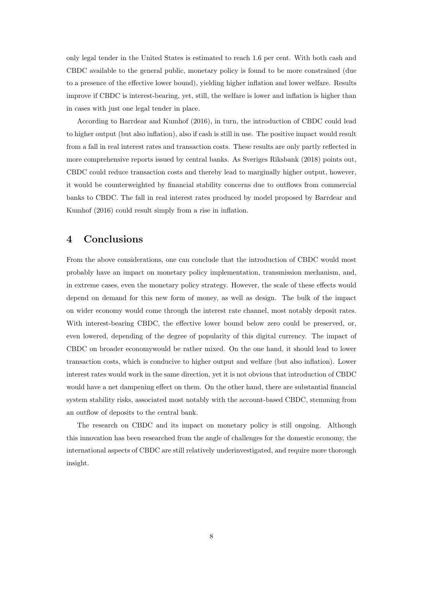only legal tender in the United States is estimated to reach 1.6 per cent. With both cash and CBDC available to the general public, monetary policy is found to be more constrained (due to a presence of the effective lower bound), yielding higher inflation and lower welfare. Results improve if CBDC is interest-bearing, yet, still, the welfare is lower and inflation is higher than in cases with just one legal tender in place.

According to Barrdear and Kumhof (2016), in turn, the introduction of CBDC could lead to higher output (but also inflation), also if cash is still in use. The positive impact would result from a fall in real interest rates and transaction costs. These results are only partly reflected in more comprehensive reports issued by central banks. As Sveriges Riksbank (2018) points out, CBDC could reduce transaction costs and thereby lead to marginally higher output, however, it would be counterweighted by financial stability concerns due to outflows from commercial banks to CBDC. The fall in real interest rates produced by model proposed by Barrdear and Kumhof (2016) could result simply from a rise in inflation.

#### 4 Conclusions

From the above considerations, one can conclude that the introduction of CBDC would most probably have an impact on monetary policy implementation, transmission mechanism, and, in extreme cases, even the monetary policy strategy. However, the scale of these effects would depend on demand for this new form of money, as well as design. The bulk of the impact on wider economy would come through the interest rate channel, most notably deposit rates. With interest-bearing CBDC, the effective lower bound below zero could be preserved, or, even lowered, depending of the degree of popularity of this digital currency. The impact of CBDC on broader economywould be rather mixed. On the one hand, it should lead to lower transaction costs, which is conducive to higher output and welfare (but also inflation). Lower interest rates would work in the same direction, yet it is not obvious that introduction of CBDC would have a net dampening effect on them. On the other hand, there are substantial financial system stability risks, associated most notably with the account-based CBDC, stemming from an outflow of deposits to the central bank.

The research on CBDC and its impact on monetary policy is still ongoing. Although this innovation has been researched from the angle of challenges for the domestic economy, the international aspects of CBDC are still relatively underinvestigated, and require more thorough insight.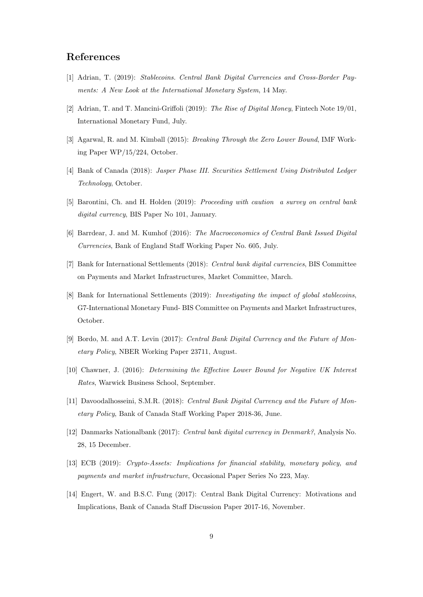### References

- [1] Adrian, T. (2019): Stablecoins. Central Bank Digital Currencies and Cross-Border Payments: A New Look at the International Monetary System, 14 May.
- [2] Adrian, T. and T. Mancini-Griffoli (2019): The Rise of Digital Money, Fintech Note 19/01, International Monetary Fund, July.
- [3] Agarwal, R. and M. Kimball (2015): Breaking Through the Zero Lower Bound, IMF Working Paper WP/15/224, October.
- [4] Bank of Canada (2018): Jasper Phase III. Securities Settlement Using Distributed Ledger Technology, October.
- [5] Barontini, Ch. and H. Holden (2019): Proceeding with caution a survey on central bank digital currency, BIS Paper No 101, January.
- [6] Barrdear, J. and M. Kumhof (2016): The Macroeconomics of Central Bank Issued Digital Currencies, Bank of England Staff Working Paper No. 605, July.
- [7] Bank for International Settlements (2018): Central bank digital currencies, BIS Committee on Payments and Market Infrastructures, Market Committee, March.
- [8] Bank for International Settlements (2019): Investigating the impact of global stablecoins, G7-International Monetary Fund- BIS Committee on Payments and Market Infrastructures, October.
- [9] Bordo, M. and A.T. Levin (2017): Central Bank Digital Currency and the Future of Monetary Policy, NBER Working Paper 23711, August.
- [10] Chawner, J. (2016): Determining the Effective Lower Bound for Negative UK Interest Rates, Warwick Business School, September.
- [11] Davoodalhosseini, S.M.R. (2018): Central Bank Digital Currency and the Future of Monetary Policy, Bank of Canada Staff Working Paper 2018-36, June.
- [12] Danmarks Nationalbank (2017): Central bank digital currency in Denmark?, Analysis No. 28, 15 December.
- [13] ECB (2019): Crypto-Assets: Implications for financial stability, monetary policy, and payments and market infrastructure, Occasional Paper Series No 223, May.
- [14] Engert, W. and B.S.C. Fung (2017): Central Bank Digital Currency: Motivations and Implications, Bank of Canada Staff Discussion Paper 2017-16, November.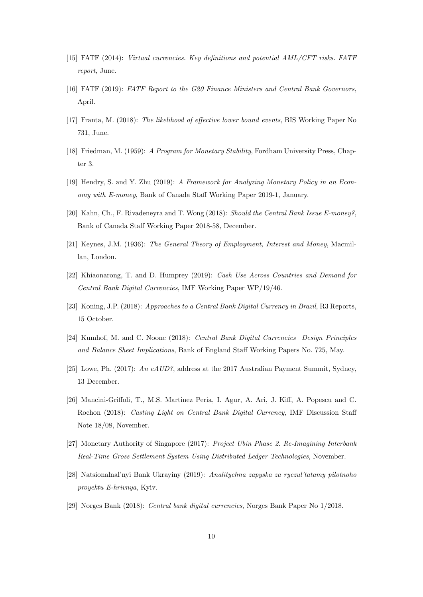- [15] FATF (2014): Virtual currencies. Key definitions and potential AML/CFT risks. FATF report, June.
- [16] FATF (2019): FATF Report to the G20 Finance Ministers and Central Bank Governors, April.
- [17] Franta, M. (2018): The likelihood of effective lower bound events, BIS Working Paper No 731, June.
- [18] Friedman, M. (1959): A Program for Monetary Stability, Fordham University Press, Chapter 3.
- [19] Hendry, S. and Y. Zhu (2019): A Framework for Analyzing Monetary Policy in an Economy with E-money, Bank of Canada Staff Working Paper 2019-1, January.
- [20] Kahn, Ch., F. Rivadeneyra and T. Wong (2018): Should the Central Bank Issue E-money?, Bank of Canada Staff Working Paper 2018-58, December.
- [21] Keynes, J.M. (1936): The General Theory of Employment, Interest and Money, Macmillan, London.
- [22] Khiaonarong, T. and D. Humprey (2019): Cash Use Across Countries and Demand for Central Bank Digital Currencies, IMF Working Paper WP/19/46.
- [23] Koning, J.P. (2018): Approaches to a Central Bank Digital Currency in Brazil, R3 Reports, 15 October.
- [24] Kumhof, M. and C. Noone (2018): Central Bank Digital Currencies Design Principles and Balance Sheet Implications, Bank of England Staff Working Papers No. 725, May.
- [25] Lowe, Ph. (2017): An  $eAUD$ ?, address at the 2017 Australian Payment Summit, Sydney, 13 December.
- [26] Mancini-Griffoli, T., M.S. Martinez Peria, I. Agur, A. Ari, J. Kiff, A. Popescu and C. Rochon (2018): Casting Light on Central Bank Digital Currency, IMF Discussion Staff Note 18/08, November.
- [27] Monetary Authority of Singapore (2017): Project Ubin Phase 2. Re-Imagining Interbank Real-Time Gross Settlement System Using Distributed Ledger Technologies, November.
- [28] Natsionalnal'nyi Bank Ukrayiny (2019): Analitychna zapyska za ryezul'tatamy pilotnoho proyektu E-hrivnya, Kyiv.
- [29] Norges Bank (2018): Central bank digital currencies, Norges Bank Paper No 1/2018.